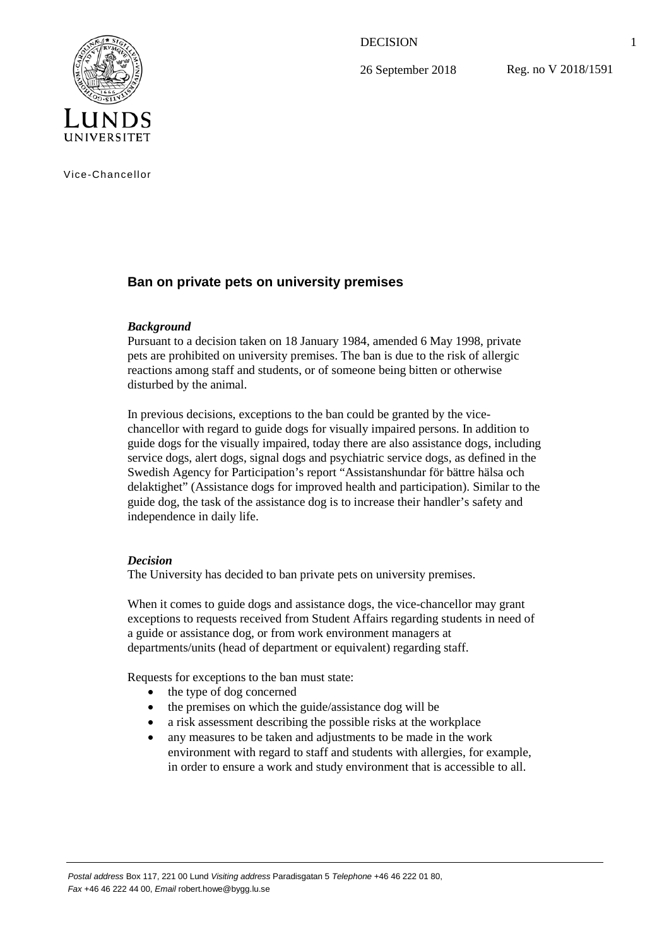DECISION

26 September 2018

Reg. no V 2018/1591



Vice-Chancellor

## **Ban on private pets on university premises**

## *Background*

Pursuant to a decision taken on 18 January 1984, amended 6 May 1998, private pets are prohibited on university premises. The ban is due to the risk of allergic reactions among staff and students, or of someone being bitten or otherwise disturbed by the animal.

In previous decisions, exceptions to the ban could be granted by the vicechancellor with regard to guide dogs for visually impaired persons. In addition to guide dogs for the visually impaired, today there are also assistance dogs, including service dogs, alert dogs, signal dogs and psychiatric service dogs, as defined in the Swedish Agency for Participation's report "Assistanshundar för bättre hälsa och delaktighet" (Assistance dogs for improved health and participation). Similar to the guide dog, the task of the assistance dog is to increase their handler's safety and independence in daily life.

## *Decision*

The University has decided to ban private pets on university premises.

When it comes to guide dogs and assistance dogs, the vice-chancellor may grant exceptions to requests received from Student Affairs regarding students in need of a guide or assistance dog, or from work environment managers at departments/units (head of department or equivalent) regarding staff.

Requests for exceptions to the ban must state:

- the type of dog concerned
- the premises on which the guide/assistance dog will be
- a risk assessment describing the possible risks at the workplace
- any measures to be taken and adjustments to be made in the work environment with regard to staff and students with allergies, for example, in order to ensure a work and study environment that is accessible to all.